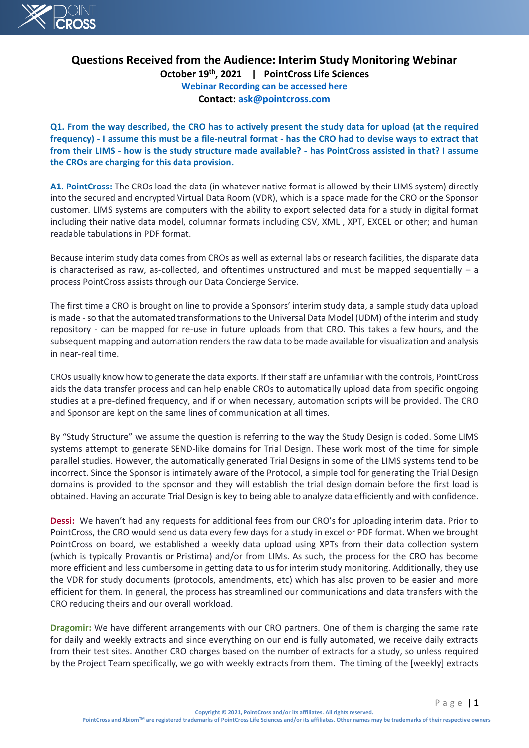

# **Questions Received from the Audience: Interim Study Monitoring Webinar**

**October 19th, 2021 | PointCross Life Sciences [Webinar Recording can be accessed here](https://info.pointcrosslifesciences.com/interimstudymonitoringrecording?utm_campaign=xbiom&utm_medium=email&_hsmi=173407981&_hsenc=p2ANqtz--w3KdT5EbxUF0-svyuBctGnZfaLzUFeMnij0iE0UwhaWCCbnpHiyc977lRfhPVv7wSEB_BXtGGO8icuUFeB8OytFXlSSRx6pPtzdDxAuB_f2OV7u4&utm_content=173407981&utm_source=hs_email) Contact: [ask@pointcross.com](mailto:ask@pointcross.com)**

**Q1. From the way described, the CRO has to actively present the study data for upload (at the required frequency) - I assume this must be a file-neutral format - has the CRO had to devise ways to extract that from their LIMS - how is the study structure made available? - has PointCross assisted in that? I assume the CROs are charging for this data provision.**

**A1. PointCross:** The CROs load the data (in whatever native format is allowed by their LIMS system) directly into the secured and encrypted Virtual Data Room (VDR), which is a space made for the CRO or the Sponsor customer. LIMS systems are computers with the ability to export selected data for a study in digital format including their native data model, columnar formats including CSV, XML , XPT, EXCEL or other; and human readable tabulations in PDF format.

Because interim study data comes from CROs as well as external labs or research facilities, the disparate data is characterised as raw, as-collected, and oftentimes unstructured and must be mapped sequentially  $-$  a process PointCross assists through our Data Concierge Service.

The first time a CRO is brought on line to provide a Sponsors' interim study data, a sample study data upload is made - so that the automated transformations to the Universal Data Model (UDM) of the interim and study repository - can be mapped for re-use in future uploads from that CRO. This takes a few hours, and the subsequent mapping and automation renders the raw data to be made available for visualization and analysis in near-real time.

CROs usually know how to generate the data exports. If their staff are unfamiliar with the controls, PointCross aids the data transfer process and can help enable CROs to automatically upload data from specific ongoing studies at a pre-defined frequency, and if or when necessary, automation scripts will be provided. The CRO and Sponsor are kept on the same lines of communication at all times.

By "Study Structure" we assume the question is referring to the way the Study Design is coded. Some LIMS systems attempt to generate SEND-like domains for Trial Design. These work most of the time for simple parallel studies. However, the automatically generated Trial Designs in some of the LIMS systems tend to be incorrect. Since the Sponsor is intimately aware of the Protocol, a simple tool for generating the Trial Design domains is provided to the sponsor and they will establish the trial design domain before the first load is obtained. Having an accurate Trial Design is key to being able to analyze data efficiently and with confidence.

CVCCSS<br>
CUCCSS<br>
Questions Received from the Audlence: Interim Study Monitoring Webinar<br>
Coluber 19<sup>8</sup>, 2021 | PointCoss Life Sciences<br>
Webinar Received from the Radiance: Interim Study Monitoring Webinar<br>
Context collectio **Dessi:** We haven't had any requests for additional fees from our CRO's for uploading interim data. Prior to PointCross, the CRO would send us data every few days for a study in excel or PDF format. When we brought PointCross on board, we established a weekly data upload using XPTs from their data collection system (which is typically Provantis or Pristima) and/or from LIMs. As such, the process for the CRO has become more efficient and less cumbersome in getting data to us for interim study monitoring. Additionally, they use the VDR for study documents (protocols, amendments, etc) which has also proven to be easier and more efficient for them. In general, the process has streamlined our communications and data transfers with the CRO reducing theirs and our overall workload.

**Dragomir:** We have different arrangements with our CRO partners. One of them is charging the same rate for daily and weekly extracts and since everything on our end is fully automated, we receive daily extracts from their test sites. Another CRO charges based on the number of extracts for a study, so unless required by the Project Team specifically, we go with weekly extracts from them. The timing of the [weekly] extracts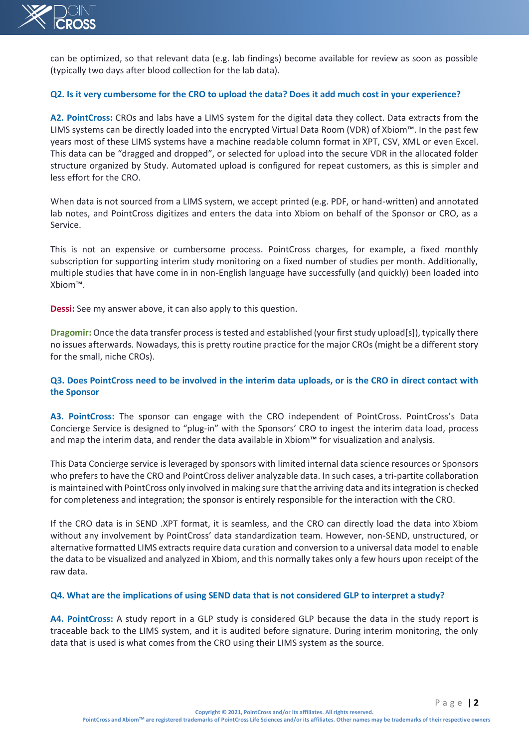

can be optimized, so that relevant data (e.g. lab findings) become available for review as soon as possible (typically two days after blood collection for the lab data).

#### **Q2. Is it very cumbersome for the CRO to upload the data? Does it add much cost in your experience?**

 $\sqrt{2}$  UCROSS<br>
Lambe solutions, so that relevant data leg, lab finding) become available for review as soon as possible<br>typerally was days after blood cellectron for the lab data).<br>
O.2. Is it way combessions for the CRO **A2. PointCross:** CROs and labs have a LIMS system for the digital data they collect. Data extracts from the LIMS systems can be directly loaded into the encrypted Virtual Data Room (VDR) of Xbiom™. In the past few years most of these LIMS systems have a machine readable column format in XPT, CSV, XML or even Excel. This data can be "dragged and dropped", or selected for upload into the secure VDR in the allocated folder structure organized by Study. Automated upload is configured for repeat customers, as this is simpler and less effort for the CRO.

When data is not sourced from a LIMS system, we accept printed (e.g. PDF, or hand-written) and annotated lab notes, and PointCross digitizes and enters the data into Xbiom on behalf of the Sponsor or CRO, as a Service.

This is not an expensive or cumbersome process. PointCross charges, for example, a fixed monthly subscription for supporting interim study monitoring on a fixed number of studies per month. Additionally, multiple studies that have come in in non-English language have successfully (and quickly) been loaded into Xbiom™.

**Dessi:** See my answer above, it can also apply to this question.

**Dragomir:** Once the data transfer process is tested and established (your first study upload[s]), typically there no issues afterwards. Nowadays, this is pretty routine practice for the major CROs (might be a different story for the small, niche CROs).

## **Q3. Does PointCross need to be involved in the interim data uploads, or is the CRO in direct contact with the Sponsor**

A3. PointCross: The sponsor can engage with the CRO independent of PointCross. PointCross's Data Concierge Service is designed to "plug-in" with the Sponsors' CRO to ingest the interim data load, process and map the interim data, and render the data available in Xbiom™ for visualization and analysis.

This Data Concierge service is leveraged by sponsors with limited internal data science resources or Sponsors who prefers to have the CRO and PointCross deliver analyzable data. In such cases, a tri-partite collaboration is maintained with PointCross only involved in making sure that the arriving data and its integration is checked for completeness and integration; the sponsor is entirely responsible for the interaction with the CRO.

If the CRO data is in SEND .XPT format, it is seamless, and the CRO can directly load the data into Xbiom without any involvement by PointCross' data standardization team. However, non-SEND, unstructured, or alternative formatted LIMS extracts require data curation and conversion to a universal data model to enable the data to be visualized and analyzed in Xbiom, and this normally takes only a few hours upon receipt of the raw data.

#### **Q4. What are the implications of using SEND data that is not considered GLP to interpret a study?**

**A4. PointCross:** A study report in a GLP study is considered GLP because the data in the study report is traceable back to the LIMS system, and it is audited before signature. During interim monitoring, the only data that is used is what comes from the CRO using their LIMS system as the source.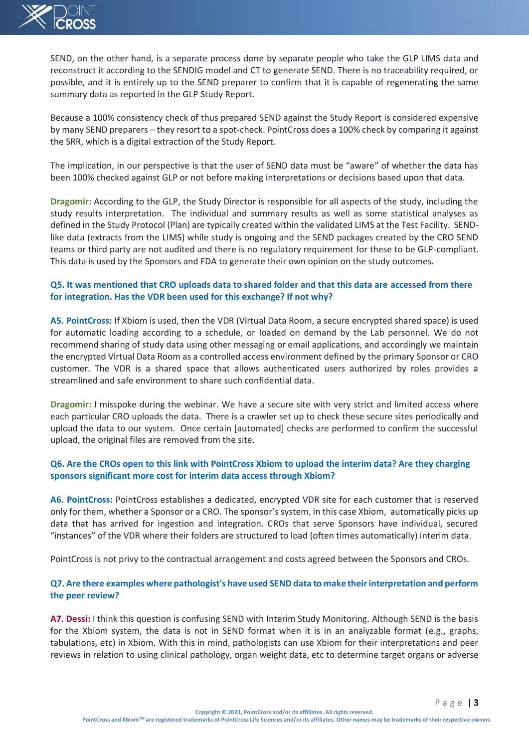

SEND, on the other hand, is a separate process done by separate people who take the GLP LIMS data and reconstruct it according to the SENDIG model and CT to generate SEND. There is no traceability required, or possible, and it is entirely up to the SEND preparer to confirm that it is capable of regenerating the same summary data as reported in the GLP Study Report.

Because a 100% consistency check of thus prepared SEND against the Study Report is considered expensive by many SEND preparers – they resort to a spot-check. PointCross does a 100% check by comparing it against the SRR, which is a digital extraction of the Study Report.

The implication, in our perspective is that the user of SEND data must be "aware" of whether the data has been 100% checked against GLP or not before making interpretations or decisions based upon that data.

 $\sqrt{3}$  UCROSS<br>
SCVD, on the edust head, is a separate process done by separate prophe who take the CD/LMS data and<br>
screen and the certified parts in each collection of the Section of the CD/LMS data and<br>
provide the cer **Dragomir:** According to the GLP, the Study Director is responsible for all aspects of the study, including the study results interpretation. The individual and summary results as well as some statistical analyses as defined in the Study Protocol (Plan) are typically created within the validated LIMS at the Test Facility. SENDlike data (extracts from the LIMS) while study is ongoing and the SEND packages created by the CRO SEND teams or third party are not audited and there is no regulatory requirement for these to be GLP-compliant. This data is used by the Sponsors and FDA to generate their own opinion on the study outcomes.

## **Q5. It was mentioned that CRO uploads data to shared folder and that this data are accessed from there for integration. Has the VDR been used for this exchange? If not why?**

**A5. PointCross:** If Xbiom is used, then the VDR (Virtual Data Room, a secure encrypted shared space) is used for automatic loading according to a schedule, or loaded on demand by the Lab personnel. We do not recommend sharing of study data using other messaging or email applications, and accordingly we maintain the encrypted Virtual Data Room as a controlled access environment defined by the primary Sponsor or CRO customer. The VDR is a shared space that allows authenticated users authorized by roles provides a streamlined and safe environment to share such confidential data.

**Dragomir:** I misspoke during the webinar. We have a secure site with very strict and limited access where each particular CRO uploads the data. There is a crawler set up to check these secure sites periodically and upload the data to our system. Once certain [automated] checks are performed to confirm the successful upload, the original files are removed from the site.

## **Q6. Are the CROs open to this link with PointCross Xbiom to upload the interim data? Are they charging sponsors significant more cost for interim data access through Xbiom?**

**A6. PointCross:** PointCross establishes a dedicated, encrypted VDR site for each customer that is reserved only for them, whether a Sponsor or a CRO. The sponsor's system, in this case Xbiom, automatically picks up data that has arrived for ingestion and integration. CROs that serve Sponsors have individual, secured "instances" of the VDR where their folders are structured to load (often times automatically) interim data.

PointCross is not privy to the contractual arrangement and costs agreed between the Sponsors and CROs.

## **Q7. Are there examples where pathologist's have used SEND data to make their interpretation and perform the peer review?**

**A7. Dessi:** I think this question is confusing SEND with Interim Study Monitoring. Although SEND is the basis for the Xbiom system, the data is not in SEND format when it is in an analyzable format (e.g., graphs, tabulations, etc) in Xbiom. With this in mind, pathologists can use Xbiom for their interpretations and peer reviews in relation to using clinical pathology, organ weight data, etc to determine target organs or adverse

**Copyright © 2021, PointCross and/or its affiliates. All rights reserved.**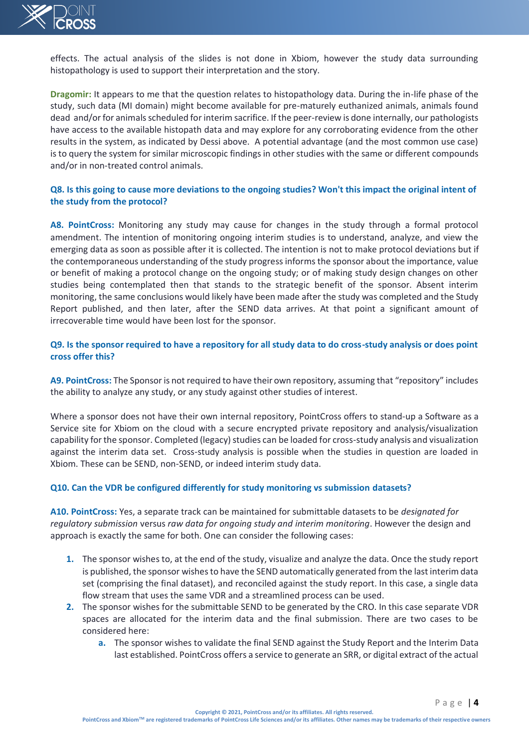

effects. The actual analysis of the slides is not done in Xbiom, however the study data surrounding histopathology is used to support their interpretation and the story.

**Dragomir:** It appears to me that the question relates to histopathology data. During the in-life phase of the study, such data (MI domain) might become available for pre-maturely euthanized animals, animals found dead and/or for animals scheduled for interim sacrifice. If the peer-review is done internally, our pathologists have access to the available histopath data and may explore for any corroborating evidence from the other results in the system, as indicated by Dessi above. A potential advantage (and the most common use case) is to query the system for similar microscopic findings in other studies with the same or different compounds and/or in non-treated control animals.

## **Q8. Is this going to cause more deviations to the ongoing studies? Won't this impact the original intent of the study from the protocol?**

 $\sqrt{10}$  UCROSS<br>
which, The actual analysis of the slites is not done in Xilom, however the study data surroundine<br>then generalized essays the method in the study of the study data surroundine<br>the properties used to suppo **A8. PointCross:** Monitoring any study may cause for changes in the study through a formal protocol amendment. The intention of monitoring ongoing interim studies is to understand, analyze, and view the emerging data as soon as possible after it is collected. The intention is not to make protocol deviations but if the contemporaneous understanding of the study progress informs the sponsor about the importance, value or benefit of making a protocol change on the ongoing study; or of making study design changes on other studies being contemplated then that stands to the strategic benefit of the sponsor. Absent interim monitoring, the same conclusions would likely have been made after the study was completed and the Study Report published, and then later, after the SEND data arrives. At that point a significant amount of irrecoverable time would have been lost for the sponsor.

## **Q9. Is the sponsor required to have a repository for all study data to do cross-study analysis or does point cross offer this?**

**A9. PointCross:** The Sponsor is not required to have their own repository, assuming that "repository" includes the ability to analyze any study, or any study against other studies of interest.

Where a sponsor does not have their own internal repository, PointCross offers to stand-up a Software as a Service site for Xbiom on the cloud with a secure encrypted private repository and analysis/visualization capability for the sponsor. Completed (legacy) studies can be loaded for cross-study analysis and visualization against the interim data set. Cross-study analysis is possible when the studies in question are loaded in Xbiom. These can be SEND, non-SEND, or indeed interim study data.

#### **Q10. Can the VDR be configured differently for study monitoring vs submission datasets?**

**A10. PointCross:** Yes, a separate track can be maintained for submittable datasets to be *designated for regulatory submission* versus *raw data for ongoing study and interim monitoring*. However the design and approach is exactly the same for both. One can consider the following cases:

- **1.** The sponsor wishes to, at the end of the study, visualize and analyze the data. Once the study report is published, the sponsor wishes to have the SEND automatically generated from the last interim data set (comprising the final dataset), and reconciled against the study report. In this case, a single data flow stream that uses the same VDR and a streamlined process can be used.
- **2.** The sponsor wishes for the submittable SEND to be generated by the CRO. In this case separate VDR spaces are allocated for the interim data and the final submission. There are two cases to be considered here:
	- **a.** The sponsor wishes to validate the final SEND against the Study Report and the Interim Data last established. PointCross offers a service to generate an SRR, or digital extract of the actual